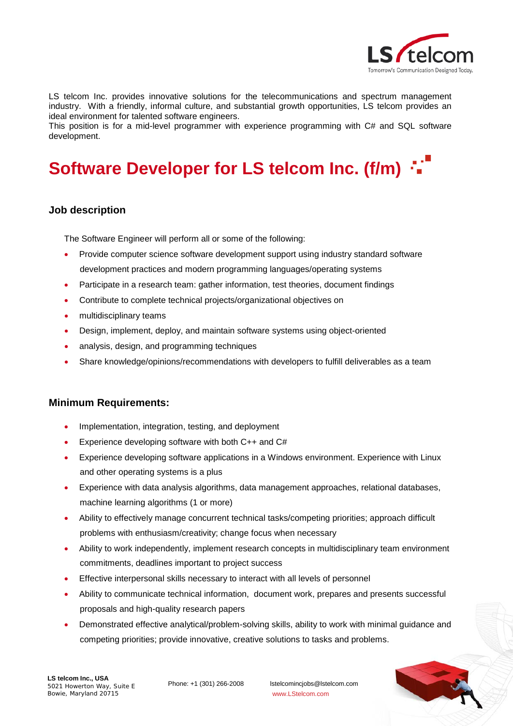

LS telcom Inc. provides innovative solutions for the telecommunications and spectrum management industry. With a friendly, informal culture, and substantial growth opportunities, LS telcom provides an ideal environment for talented software engineers.

This position is for a mid-level programmer with experience programming with C# and SQL software development.

# **Software Developer for LS telcom Inc. (f/m)**

## **Job description**

The Software Engineer will perform all or some of the following:

- Provide computer science software development support using industry standard software development practices and modern programming languages/operating systems
- Participate in a research team: gather information, test theories, document findings
- Contribute to complete technical projects/organizational objectives on
- multidisciplinary teams
- Design, implement, deploy, and maintain software systems using object-oriented
- analysis, design, and programming techniques
- Share knowledge/opinions/recommendations with developers to fulfill deliverables as a team

### **Minimum Requirements:**

- Implementation, integration, testing, and deployment
- Experience developing software with both C++ and C#
- Experience developing software applications in a Windows environment. Experience with Linux and other operating systems is a plus
- Experience with data analysis algorithms, data management approaches, relational databases, machine learning algorithms (1 or more)
- Ability to effectively manage concurrent technical tasks/competing priorities; approach difficult problems with enthusiasm/creativity; change focus when necessary
- Ability to work independently, implement research concepts in multidisciplinary team environment commitments, deadlines important to project success
- Effective interpersonal skills necessary to interact with all levels of personnel
- Ability to communicate technical information, document work, prepares and presents successful proposals and high-quality research papers
- Demonstrated effective analytical/problem-solving skills, ability to work with minimal guidance and competing priorities; provide innovative, creative solutions to tasks and problems.